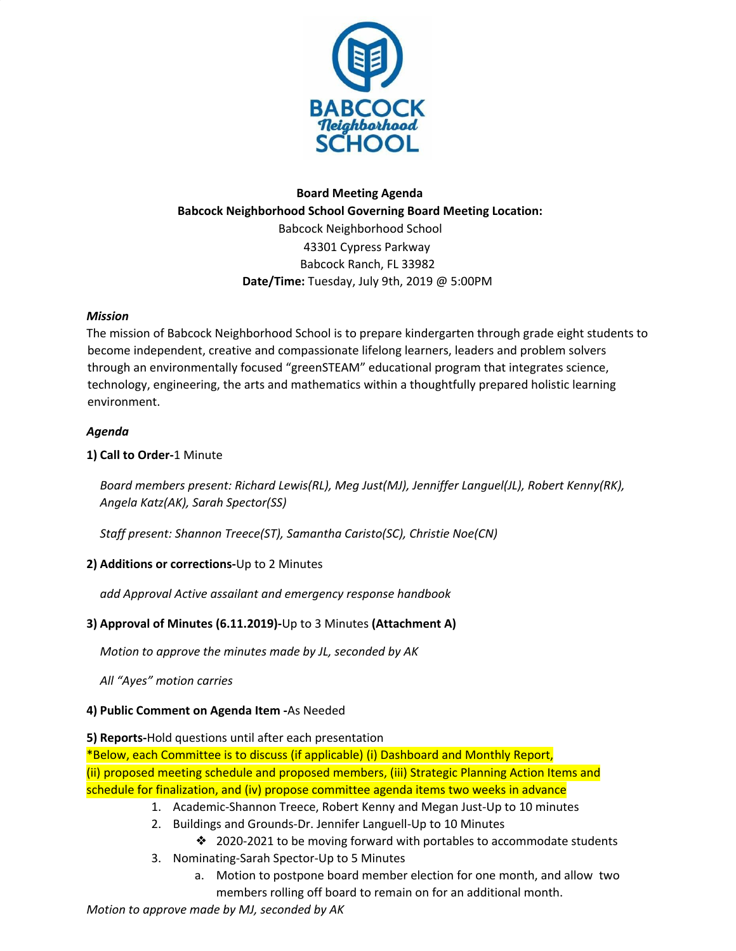

## **Board Meeting Agenda Babcock Neighborhood School Governing Board Meeting Location:** Babcock Neighborhood School 43301 Cypress Parkway Babcock Ranch, FL 33982 **Date/Time:** Tuesday, July 9th, 2019 @ 5:00PM

#### *Mission*

The mission of Babcock Neighborhood School is to prepare kindergarten through grade eight students to become independent, creative and compassionate lifelong learners, leaders and problem solvers through an environmentally focused "greenSTEAM" educational program that integrates science, technology, engineering, the arts and mathematics within a thoughtfully prepared holistic learning environment.

#### *Agenda*

## **1) Call to Order-**1 Minute

*Board members present: Richard Lewis(RL), Meg Just(MJ), Jenniffer Languel(JL), Robert Kenny(RK), Angela Katz(AK), Sarah Spector(SS)*

*Staff present: Shannon Treece(ST), Samantha Caristo(SC), Christie Noe(CN)*

## **2) Additions or corrections-**Up to 2 Minutes

*add Approval Active assailant and emergency response handbook*

## **3) Approval of Minutes (6.11.2019)-**Up to 3 Minutes **(Attachment A)**

*Motion to approve the minutes made by JL, seconded by AK*

*All "Ayes" motion carries*

## **4) Public Comment on Agenda Item -**As Needed

**5) Reports-**Hold questions until after each presentation

\*Below, each Committee is to discuss (if applicable) (i) Dashboard and Monthly Report, (ii) proposed meeting schedule and proposed members, (iii) Strategic Planning Action Items and schedule for finalization, and (iv) propose committee agenda items two weeks in advance

- 1. Academic-Shannon Treece, Robert Kenny and Megan Just-Up to 10 minutes
- 2. Buildings and Grounds-Dr. Jennifer Languell-Up to 10 Minutes
	- ❖ 2020-2021 to be moving forward with portables to accommodate students
- 3. Nominating-Sarah Spector-Up to 5 Minutes
	- a. Motion to postpone board member election for one month, and allow two members rolling off board to remain on for an additional month.

*Motion to approve made by MJ, seconded by AK*